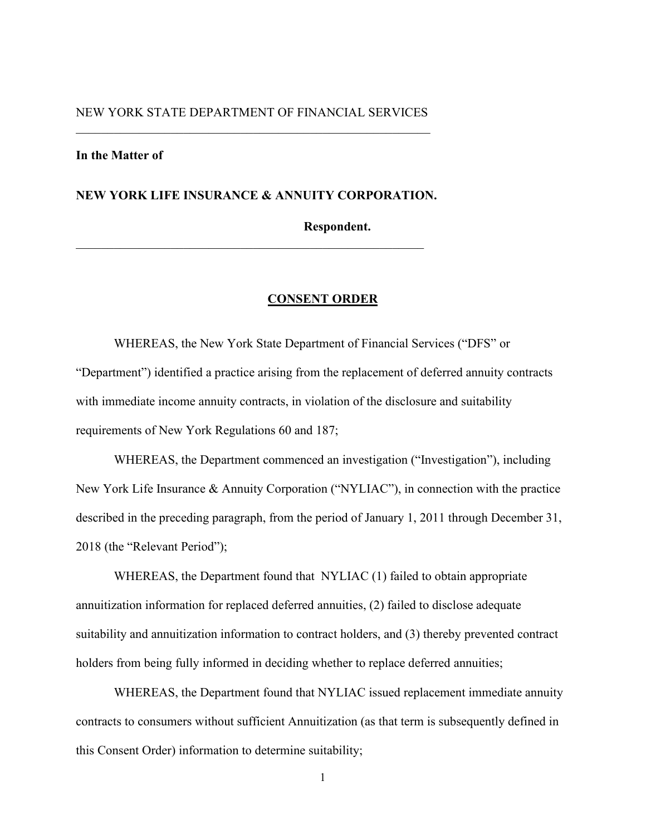# NEW YORK STATE DEPARTMENT OF FINANCIAL SERVICES \_\_\_\_\_\_\_\_\_\_\_\_\_\_\_\_\_\_\_\_\_\_\_\_\_\_\_\_\_\_\_\_\_\_\_\_\_\_\_\_\_\_\_\_\_\_\_\_\_\_\_\_\_\_\_\_

# **In the Matter of**

## **NEW YORK LIFE INSURANCE & ANNUITY CORPORATION.**

# **Respondent.**

#### **CONSENT ORDER**

WHEREAS, the New York State Department of Financial Services ("DFS" or "Department") identified a practice arising from the replacement of deferred annuity contracts with immediate income annuity contracts, in violation of the disclosure and suitability requirements of New York Regulations 60 and 187;

WHEREAS, the Department commenced an investigation ("Investigation"), including New York Life Insurance & Annuity Corporation ("NYLIAC"), in connection with the practice described in the preceding paragraph, from the period of January 1, 2011 through December 31, 2018 (the "Relevant Period");

WHEREAS, the Department found that NYLIAC (1) failed to obtain appropriate annuitization information for replaced deferred annuities, (2) failed to disclose adequate suitability and annuitization information to contract holders, and (3) thereby prevented contract holders from being fully informed in deciding whether to replace deferred annuities;

WHEREAS, the Department found that NYLIAC issued replacement immediate annuity contracts to consumers without sufficient Annuitization (as that term is subsequently defined in this Consent Order) information to determine suitability;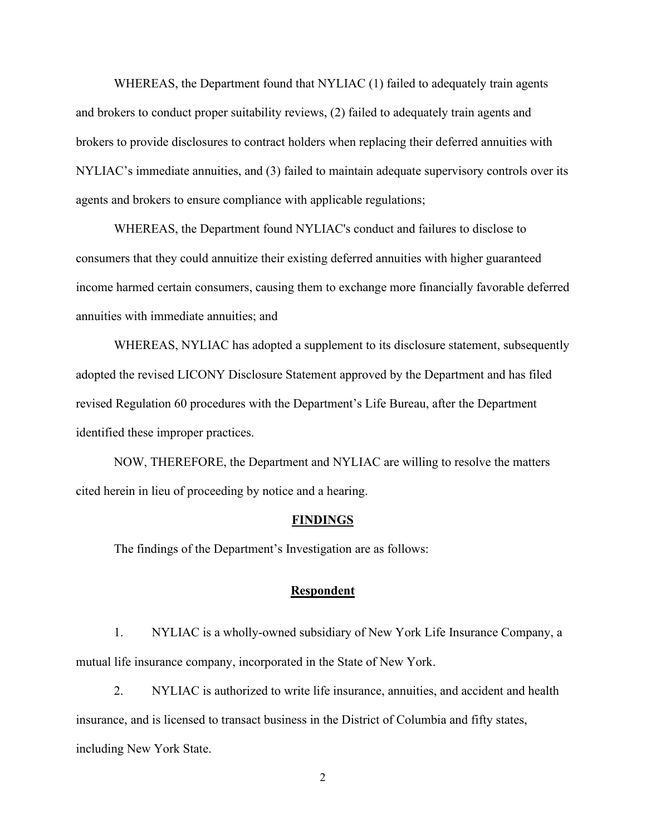WHEREAS, the Department found that NYLIAC (1) failed to adequately train agents and brokers to conduct proper suitability reviews, (2) failed to adequately train agents and brokers to provide disclosures to contract holders when replacing their deferred annuities with NYLIAC's immediate annuities, and (3) failed to maintain adequate supervisory controls over its agents and brokers to ensure compliance with applicable regulations;

WHEREAS, the Department found NYLIAC's conduct and failures to disclose to consumers that they could annuitize their existing deferred annuities with higher guaranteed income harmed certain consumers, causing them to exchange more financially favorable deferred annuities with immediate annuities; and

WHEREAS, NYLIAC has adopted a supplement to its disclosure statement, subsequently adopted the revised LICONY Disclosure Statement approved by the Department and has filed revised Regulation 60 procedures with the Department's Life Bureau, after the Department identified these improper practices.

NOW, THEREFORE, the Department and NYLIAC are willing to resolve the matters cited herein in lieu of proceeding by notice and a hearing.

#### **FINDINGS**

The findings of the Department's Investigation are as follows:

## **Respondent**

1. NYLIAC is a wholly-owned subsidiary of New York Life Insurance Company, a mutual life insurance company, incorporated in the State of New York.

2. NYLIAC is authorized to write life insurance, annuities, and accident and health insurance, and is licensed to transact business in the District of Columbia and fifty states, including New York State.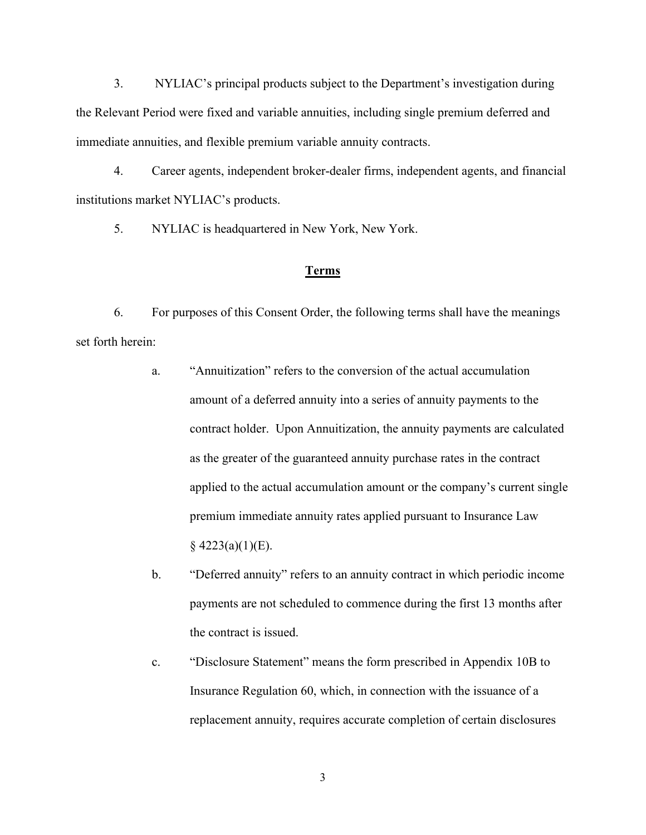3. NYLIAC's principal products subject to the Department's investigation during the Relevant Period were fixed and variable annuities, including single premium deferred and immediate annuities, and flexible premium variable annuity contracts.

4. Career agents, independent broker-dealer firms, independent agents, and financial institutions market NYLIAC's products.

5. NYLIAC is headquartered in New York, New York.

#### **Terms**

6. For purposes of this Consent Order, the following terms shall have the meanings set forth herein:

- a. "Annuitization" refers to the conversion of the actual accumulation amount of a deferred annuity into a series of annuity payments to the contract holder. Upon Annuitization, the annuity payments are calculated as the greater of the guaranteed annuity purchase rates in the contract applied to the actual accumulation amount or the company's current single premium immediate annuity rates applied pursuant to Insurance Law  $§$  4223(a)(1)(E).
- b. "Deferred annuity" refers to an annuity contract in which periodic income payments are not scheduled to commence during the first 13 months after the contract is issued.
- c. "Disclosure Statement" means the form prescribed in Appendix 10B to Insurance Regulation 60, which, in connection with the issuance of a replacement annuity, requires accurate completion of certain disclosures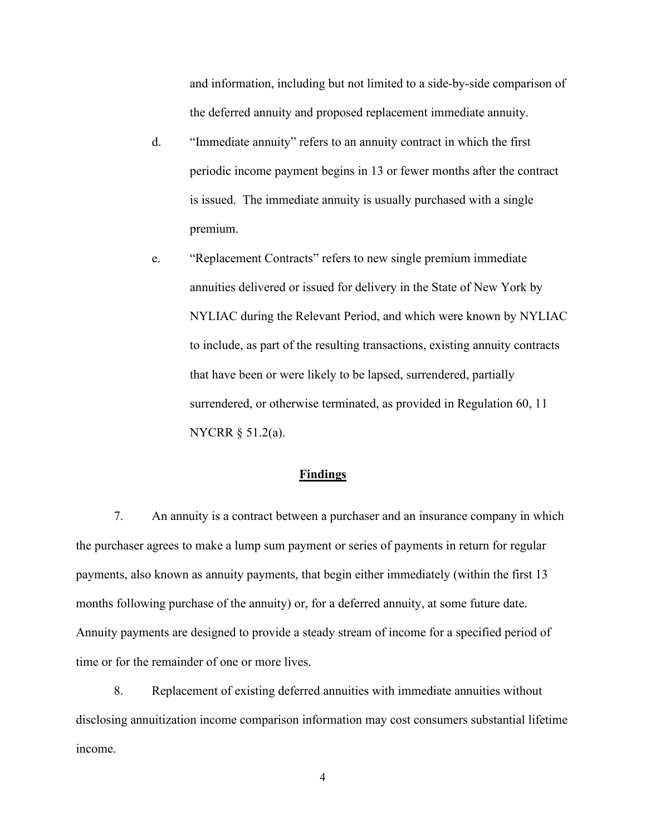and information, including but not limited to a side-by-side comparison of the deferred annuity and proposed replacement immediate annuity.

- d. "Immediate annuity" refers to an annuity contract in which the first periodic income payment begins in 13 or fewer months after the contract is issued. The immediate annuity is usually purchased with a single premium.
- e. "Replacement Contracts" refers to new single premium immediate annuities delivered or issued for delivery in the State of New York by NYLIAC during the Relevant Period, and which were known by NYLIAC to include, as part of the resulting transactions, existing annuity contracts that have been or were likely to be lapsed, surrendered, partially surrendered, or otherwise terminated, as provided in Regulation 60, 11 NYCRR § 51.2(a).

# **Findings**

7. An annuity is a contract between a purchaser and an insurance company in which the purchaser agrees to make a lump sum payment or series of payments in return for regular payments, also known as annuity payments, that begin either immediately (within the first 13 months following purchase of the annuity) or, for a deferred annuity, at some future date. Annuity payments are designed to provide a steady stream of income for a specified period of time or for the remainder of one or more lives.

8. Replacement of existing deferred annuities with immediate annuities without disclosing annuitization income comparison information may cost consumers substantial lifetime income.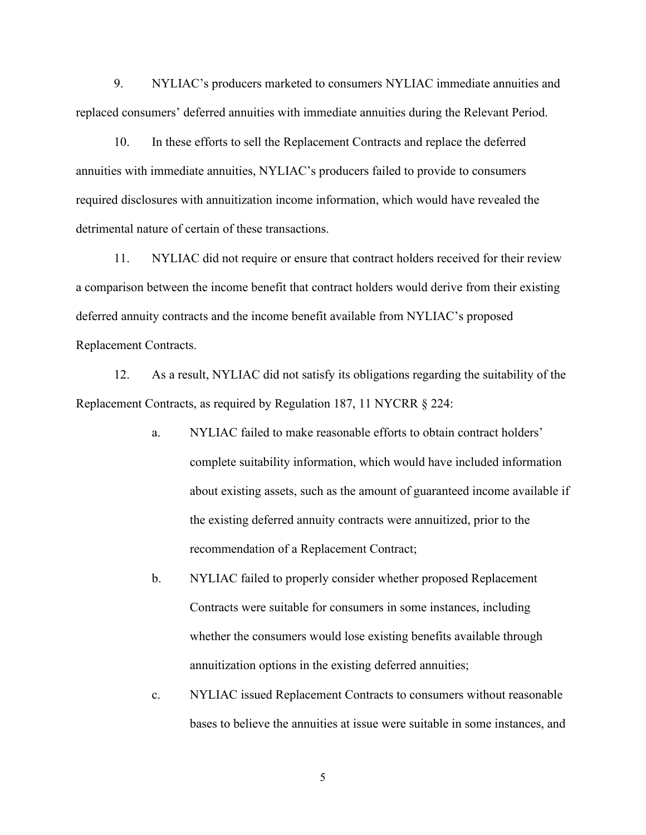9. NYLIAC's producers marketed to consumers NYLIAC immediate annuities and replaced consumers' deferred annuities with immediate annuities during the Relevant Period.

10. In these efforts to sell the Replacement Contracts and replace the deferred annuities with immediate annuities, NYLIAC's producers failed to provide to consumers required disclosures with annuitization income information, which would have revealed the detrimental nature of certain of these transactions.

11. NYLIAC did not require or ensure that contract holders received for their review a comparison between the income benefit that contract holders would derive from their existing deferred annuity contracts and the income benefit available from NYLIAC's proposed Replacement Contracts.

12. As a result, NYLIAC did not satisfy its obligations regarding the suitability of the Replacement Contracts, as required by Regulation 187, 11 NYCRR § 224:

- a. NYLIAC failed to make reasonable efforts to obtain contract holders' complete suitability information, which would have included information about existing assets, such as the amount of guaranteed income available if the existing deferred annuity contracts were annuitized, prior to the recommendation of a Replacement Contract;
- b. NYLIAC failed to properly consider whether proposed Replacement Contracts were suitable for consumers in some instances, including whether the consumers would lose existing benefits available through annuitization options in the existing deferred annuities;
- c. NYLIAC issued Replacement Contracts to consumers without reasonable bases to believe the annuities at issue were suitable in some instances, and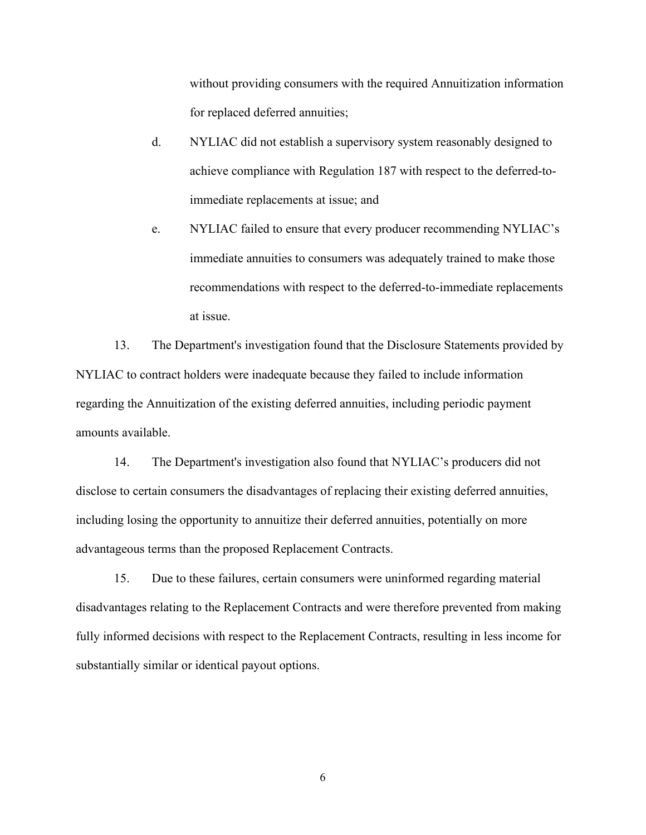without providing consumers with the required Annuitization information for replaced deferred annuities;

- d. NYLIAC did not establish a supervisory system reasonably designed to achieve compliance with Regulation 187 with respect to the deferred-toimmediate replacements at issue; and
- e. NYLIAC failed to ensure that every producer recommending NYLIAC's immediate annuities to consumers was adequately trained to make those recommendations with respect to the deferred-to-immediate replacements at issue.

13. The Department's investigation found that the Disclosure Statements provided by NYLIAC to contract holders were inadequate because they failed to include information regarding the Annuitization of the existing deferred annuities, including periodic payment amounts available.

14. The Department's investigation also found that NYLIAC's producers did not disclose to certain consumers the disadvantages of replacing their existing deferred annuities, including losing the opportunity to annuitize their deferred annuities, potentially on more advantageous terms than the proposed Replacement Contracts.

15. Due to these failures, certain consumers were uninformed regarding material disadvantages relating to the Replacement Contracts and were therefore prevented from making fully informed decisions with respect to the Replacement Contracts, resulting in less income for substantially similar or identical payout options.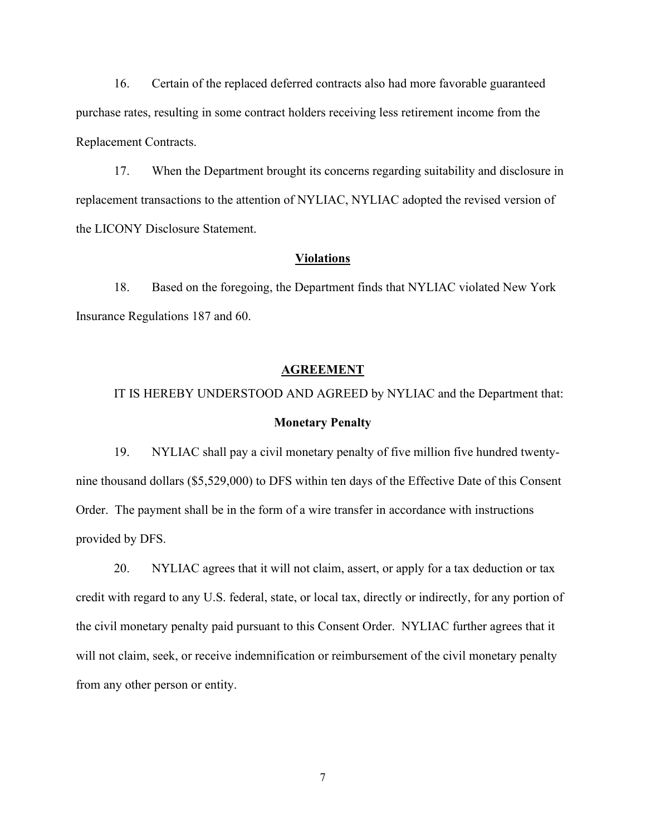16. Certain of the replaced deferred contracts also had more favorable guaranteed purchase rates, resulting in some contract holders receiving less retirement income from the Replacement Contracts.

17. When the Department brought its concerns regarding suitability and disclosure in replacement transactions to the attention of NYLIAC, NYLIAC adopted the revised version of the LICONY Disclosure Statement.

## **Violations**

18. Based on the foregoing, the Department finds that NYLIAC violated New York Insurance Regulations 187 and 60.

#### **AGREEMENT**

# IT IS HEREBY UNDERSTOOD AND AGREED by NYLIAC and the Department that: **Monetary Penalty**

19. NYLIAC shall pay a civil monetary penalty of five million five hundred twentynine thousand dollars (\$5,529,000) to DFS within ten days of the Effective Date of this Consent Order. The payment shall be in the form of a wire transfer in accordance with instructions provided by DFS.

20. NYLIAC agrees that it will not claim, assert, or apply for a tax deduction or tax credit with regard to any U.S. federal, state, or local tax, directly or indirectly, for any portion of the civil monetary penalty paid pursuant to this Consent Order. NYLIAC further agrees that it will not claim, seek, or receive indemnification or reimbursement of the civil monetary penalty from any other person or entity.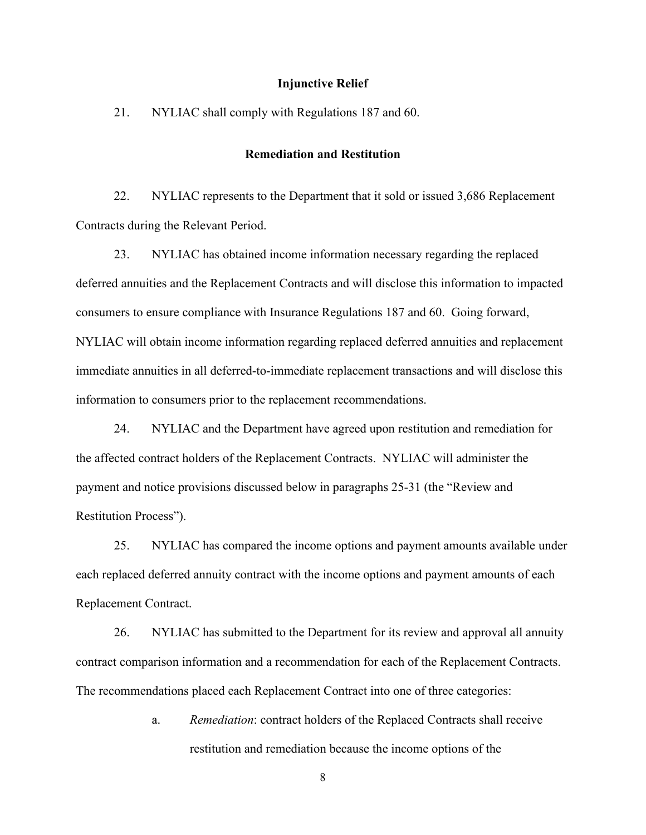#### **Injunctive Relief**

21. NYLIAC shall comply with Regulations 187 and 60.

#### **Remediation and Restitution**

22. NYLIAC represents to the Department that it sold or issued 3,686 Replacement Contracts during the Relevant Period.

23. NYLIAC has obtained income information necessary regarding the replaced deferred annuities and the Replacement Contracts and will disclose this information to impacted consumers to ensure compliance with Insurance Regulations 187 and 60. Going forward, NYLIAC will obtain income information regarding replaced deferred annuities and replacement immediate annuities in all deferred-to-immediate replacement transactions and will disclose this information to consumers prior to the replacement recommendations.

24. NYLIAC and the Department have agreed upon restitution and remediation for the affected contract holders of the Replacement Contracts. NYLIAC will administer the payment and notice provisions discussed below in paragraphs 25-31 (the "Review and Restitution Process").

25. NYLIAC has compared the income options and payment amounts available under each replaced deferred annuity contract with the income options and payment amounts of each Replacement Contract.

26. NYLIAC has submitted to the Department for its review and approval all annuity contract comparison information and a recommendation for each of the Replacement Contracts. The recommendations placed each Replacement Contract into one of three categories:

> a. *Remediation*: contract holders of the Replaced Contracts shall receive restitution and remediation because the income options of the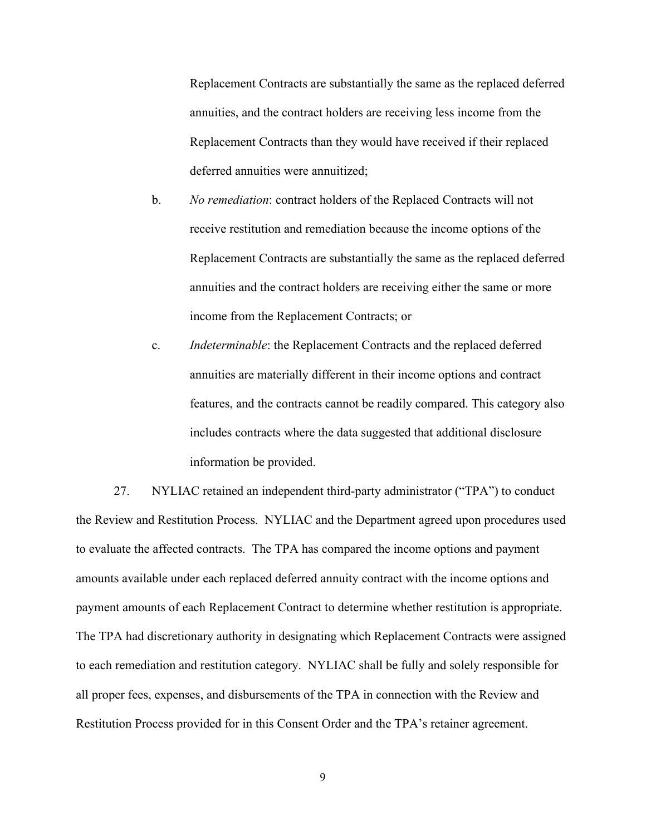Replacement Contracts are substantially the same as the replaced deferred annuities, and the contract holders are receiving less income from the Replacement Contracts than they would have received if their replaced deferred annuities were annuitized;

- b. *No remediation*: contract holders of the Replaced Contracts will not receive restitution and remediation because the income options of the Replacement Contracts are substantially the same as the replaced deferred annuities and the contract holders are receiving either the same or more income from the Replacement Contracts; or
- c. *Indeterminable*: the Replacement Contracts and the replaced deferred annuities are materially different in their income options and contract features, and the contracts cannot be readily compared. This category also includes contracts where the data suggested that additional disclosure information be provided.

27. NYLIAC retained an independent third-party administrator ("TPA") to conduct the Review and Restitution Process. NYLIAC and the Department agreed upon procedures used to evaluate the affected contracts. The TPA has compared the income options and payment amounts available under each replaced deferred annuity contract with the income options and payment amounts of each Replacement Contract to determine whether restitution is appropriate. The TPA had discretionary authority in designating which Replacement Contracts were assigned to each remediation and restitution category. NYLIAC shall be fully and solely responsible for all proper fees, expenses, and disbursements of the TPA in connection with the Review and Restitution Process provided for in this Consent Order and the TPA's retainer agreement.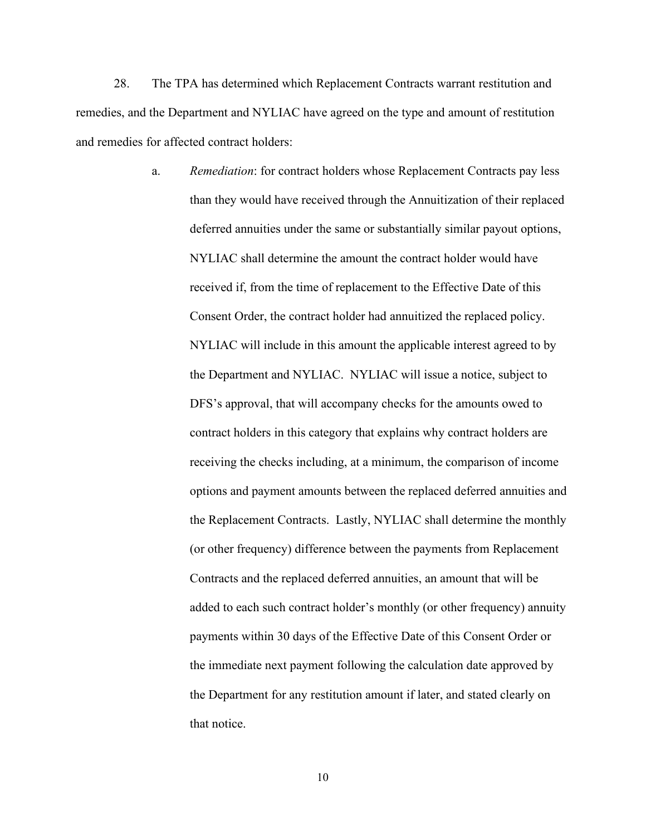28. The TPA has determined which Replacement Contracts warrant restitution and remedies, and the Department and NYLIAC have agreed on the type and amount of restitution and remedies for affected contract holders:

> a. *Remediation*: for contract holders whose Replacement Contracts pay less than they would have received through the Annuitization of their replaced deferred annuities under the same or substantially similar payout options, NYLIAC shall determine the amount the contract holder would have received if, from the time of replacement to the Effective Date of this Consent Order, the contract holder had annuitized the replaced policy. NYLIAC will include in this amount the applicable interest agreed to by the Department and NYLIAC. NYLIAC will issue a notice, subject to DFS's approval, that will accompany checks for the amounts owed to contract holders in this category that explains why contract holders are receiving the checks including, at a minimum, the comparison of income options and payment amounts between the replaced deferred annuities and the Replacement Contracts. Lastly, NYLIAC shall determine the monthly (or other frequency) difference between the payments from Replacement Contracts and the replaced deferred annuities, an amount that will be added to each such contract holder's monthly (or other frequency) annuity payments within 30 days of the Effective Date of this Consent Order or the immediate next payment following the calculation date approved by the Department for any restitution amount if later, and stated clearly on that notice.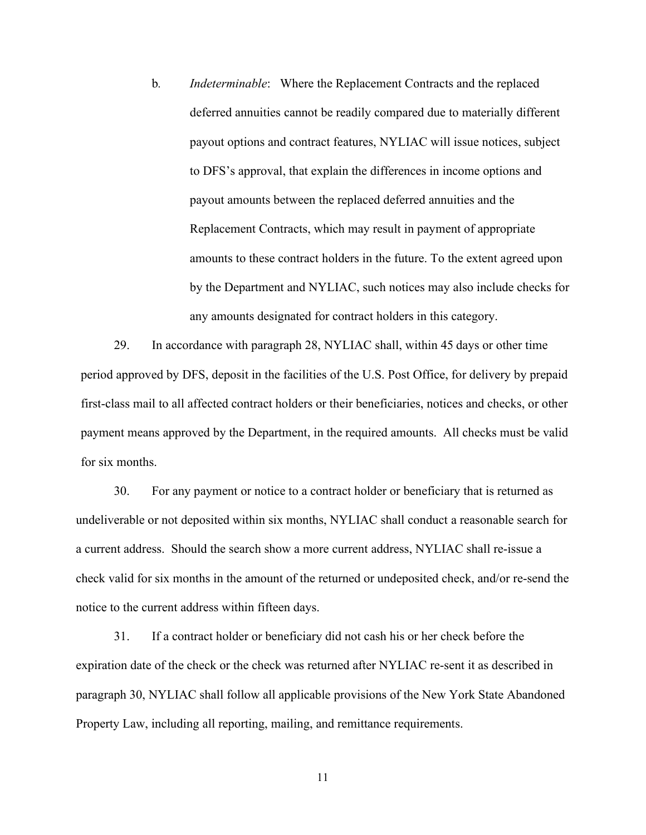b*. Indeterminable*: Where the Replacement Contracts and the replaced deferred annuities cannot be readily compared due to materially different payout options and contract features, NYLIAC will issue notices, subject to DFS's approval, that explain the differences in income options and payout amounts between the replaced deferred annuities and the Replacement Contracts, which may result in payment of appropriate amounts to these contract holders in the future. To the extent agreed upon by the Department and NYLIAC, such notices may also include checks for any amounts designated for contract holders in this category.

29. In accordance with paragraph 28, NYLIAC shall, within 45 days or other time period approved by DFS, deposit in the facilities of the U.S. Post Office, for delivery by prepaid first-class mail to all affected contract holders or their beneficiaries, notices and checks, or other payment means approved by the Department, in the required amounts. All checks must be valid for six months.

30. For any payment or notice to a contract holder or beneficiary that is returned as undeliverable or not deposited within six months, NYLIAC shall conduct a reasonable search for a current address. Should the search show a more current address, NYLIAC shall re-issue a check valid for six months in the amount of the returned or undeposited check, and/or re-send the notice to the current address within fifteen days.

31. If a contract holder or beneficiary did not cash his or her check before the expiration date of the check or the check was returned after NYLIAC re-sent it as described in paragraph 30, NYLIAC shall follow all applicable provisions of the New York State Abandoned Property Law, including all reporting, mailing, and remittance requirements.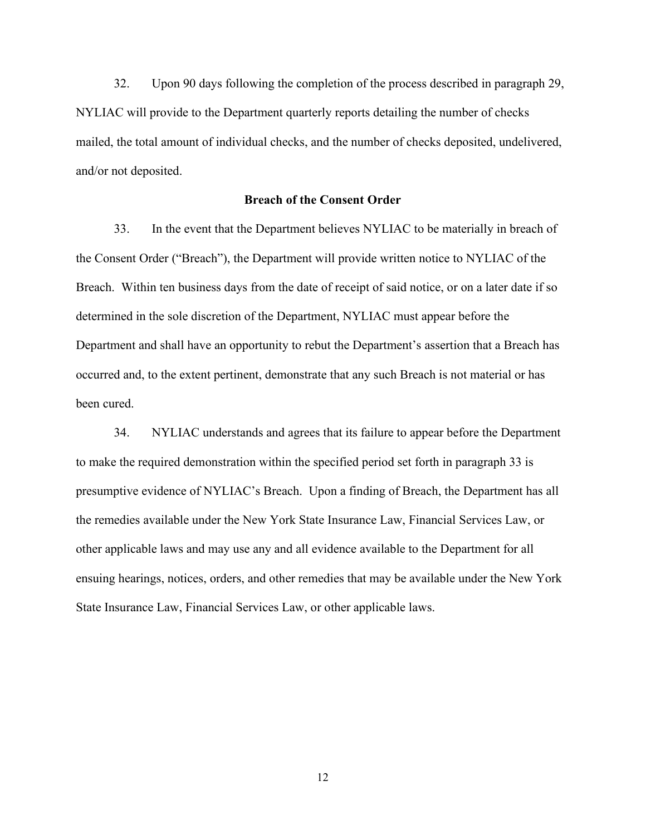32. Upon 90 days following the completion of the process described in paragraph 29, NYLIAC will provide to the Department quarterly reports detailing the number of checks mailed, the total amount of individual checks, and the number of checks deposited, undelivered, and/or not deposited.

## **Breach of the Consent Order**

33. In the event that the Department believes NYLIAC to be materially in breach of the Consent Order ("Breach"), the Department will provide written notice to NYLIAC of the Breach. Within ten business days from the date of receipt of said notice, or on a later date if so determined in the sole discretion of the Department, NYLIAC must appear before the Department and shall have an opportunity to rebut the Department's assertion that a Breach has occurred and, to the extent pertinent, demonstrate that any such Breach is not material or has been cured.

34. NYLIAC understands and agrees that its failure to appear before the Department to make the required demonstration within the specified period set forth in paragraph 33 is presumptive evidence of NYLIAC's Breach. Upon a finding of Breach, the Department has all the remedies available under the New York State Insurance Law, Financial Services Law, or other applicable laws and may use any and all evidence available to the Department for all ensuing hearings, notices, orders, and other remedies that may be available under the New York State Insurance Law, Financial Services Law, or other applicable laws.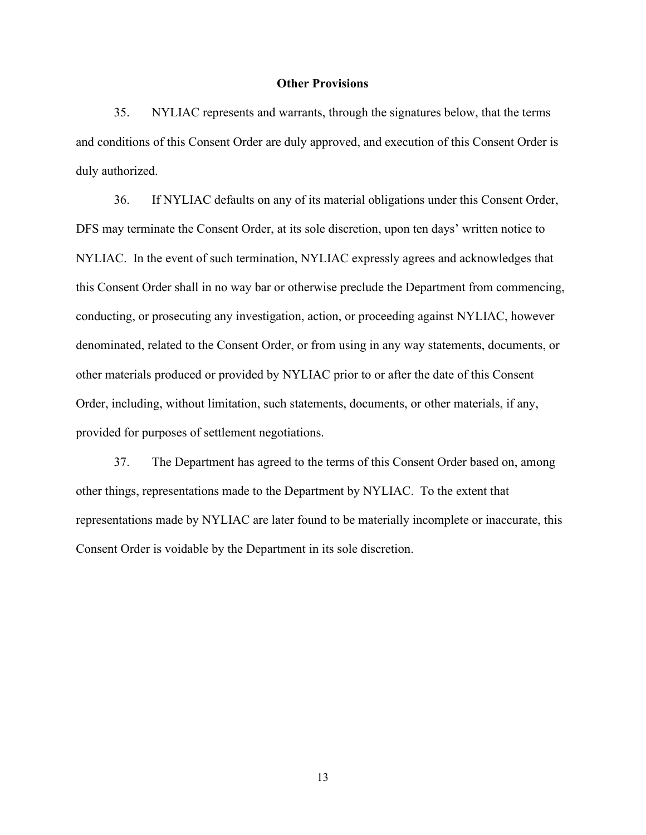#### **Other Provisions**

35. NYLIAC represents and warrants, through the signatures below, that the terms and conditions of this Consent Order are duly approved, and execution of this Consent Order is duly authorized.

36. If NYLIAC defaults on any of its material obligations under this Consent Order, DFS may terminate the Consent Order, at its sole discretion, upon ten days' written notice to NYLIAC. In the event of such termination, NYLIAC expressly agrees and acknowledges that this Consent Order shall in no way bar or otherwise preclude the Department from commencing, conducting, or prosecuting any investigation, action, or proceeding against NYLIAC, however denominated, related to the Consent Order, or from using in any way statements, documents, or other materials produced or provided by NYLIAC prior to or after the date of this Consent Order, including, without limitation, such statements, documents, or other materials, if any, provided for purposes of settlement negotiations.

37. The Department has agreed to the terms of this Consent Order based on, among other things, representations made to the Department by NYLIAC. To the extent that representations made by NYLIAC are later found to be materially incomplete or inaccurate, this Consent Order is voidable by the Department in its sole discretion.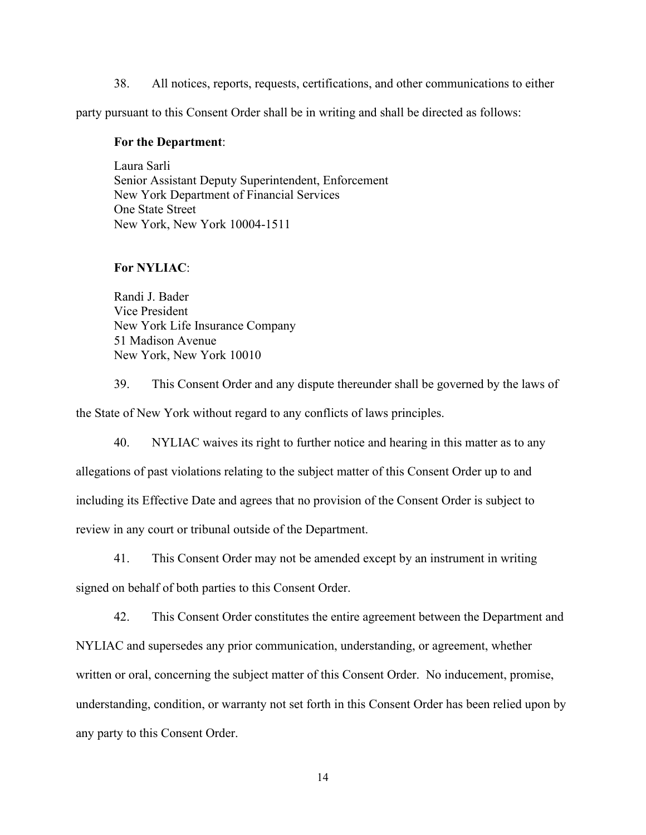38. All notices, reports, requests, certifications, and other communications to either

party pursuant to this Consent Order shall be in writing and shall be directed as follows:

# **For the Department**:

Laura Sarli Senior Assistant Deputy Superintendent, Enforcement New York Department of Financial Services One State Street New York, New York 10004-1511

## **For NYLIAC**:

Randi J. Bader Vice President New York Life Insurance Company 51 Madison Avenue New York, New York 10010

39. This Consent Order and any dispute thereunder shall be governed by the laws of the State of New York without regard to any conflicts of laws principles.

40. NYLIAC waives its right to further notice and hearing in this matter as to any allegations of past violations relating to the subject matter of this Consent Order up to and including its Effective Date and agrees that no provision of the Consent Order is subject to review in any court or tribunal outside of the Department.

41. This Consent Order may not be amended except by an instrument in writing signed on behalf of both parties to this Consent Order.

42. This Consent Order constitutes the entire agreement between the Department and NYLIAC and supersedes any prior communication, understanding, or agreement, whether written or oral, concerning the subject matter of this Consent Order. No inducement, promise, understanding, condition, or warranty not set forth in this Consent Order has been relied upon by any party to this Consent Order.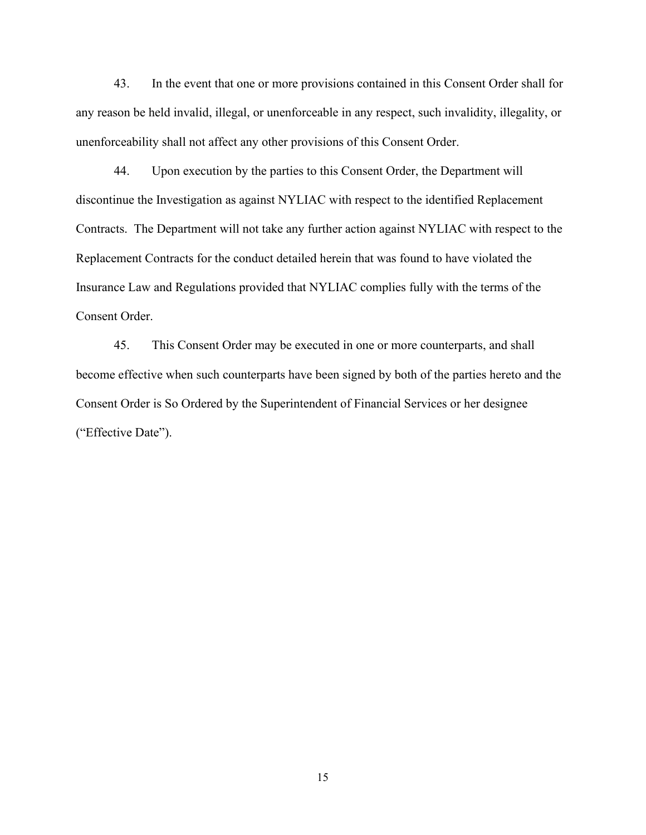43. In the event that one or more provisions contained in this Consent Order shall for any reason be held invalid, illegal, or unenforceable in any respect, such invalidity, illegality, or unenforceability shall not affect any other provisions of this Consent Order.

44. Upon execution by the parties to this Consent Order, the Department will discontinue the Investigation as against NYLIAC with respect to the identified Replacement Contracts. The Department will not take any further action against NYLIAC with respect to the Replacement Contracts for the conduct detailed herein that was found to have violated the Insurance Law and Regulations provided that NYLIAC complies fully with the terms of the Consent Order.

45. This Consent Order may be executed in one or more counterparts, and shall become effective when such counterparts have been signed by both of the parties hereto and the Consent Order is So Ordered by the Superintendent of Financial Services or her designee ("Effective Date").